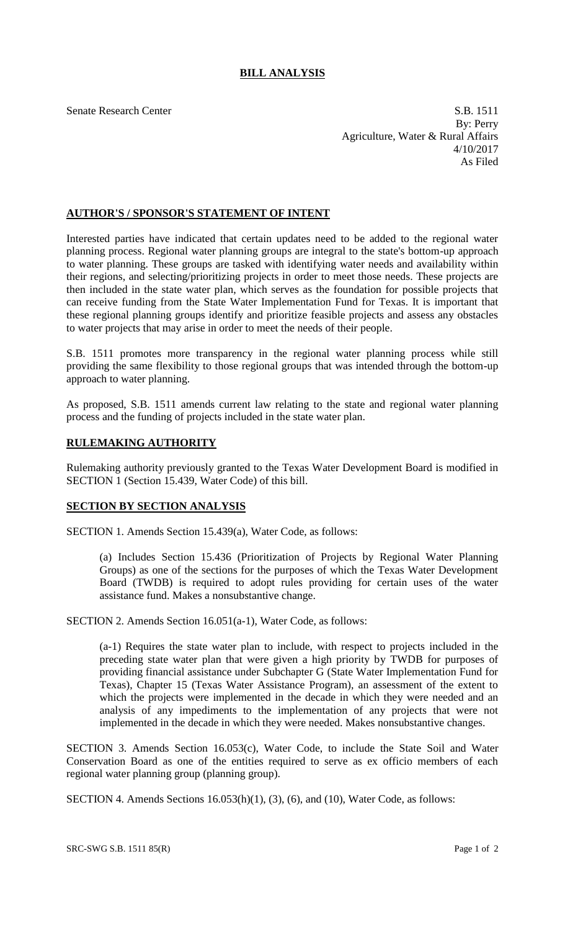## **BILL ANALYSIS**

Senate Research Center S.B. 1511 By: Perry Agriculture, Water & Rural Affairs 4/10/2017 As Filed

## **AUTHOR'S / SPONSOR'S STATEMENT OF INTENT**

Interested parties have indicated that certain updates need to be added to the regional water planning process. Regional water planning groups are integral to the state's bottom-up approach to water planning. These groups are tasked with identifying water needs and availability within their regions, and selecting/prioritizing projects in order to meet those needs. These projects are then included in the state water plan, which serves as the foundation for possible projects that can receive funding from the State Water Implementation Fund for Texas. It is important that these regional planning groups identify and prioritize feasible projects and assess any obstacles to water projects that may arise in order to meet the needs of their people.

S.B. 1511 promotes more transparency in the regional water planning process while still providing the same flexibility to those regional groups that was intended through the bottom-up approach to water planning.

As proposed, S.B. 1511 amends current law relating to the state and regional water planning process and the funding of projects included in the state water plan.

## **RULEMAKING AUTHORITY**

Rulemaking authority previously granted to the Texas Water Development Board is modified in SECTION 1 (Section 15.439, Water Code) of this bill.

## **SECTION BY SECTION ANALYSIS**

SECTION 1. Amends Section 15.439(a), Water Code, as follows:

(a) Includes Section 15.436 (Prioritization of Projects by Regional Water Planning Groups) as one of the sections for the purposes of which the Texas Water Development Board (TWDB) is required to adopt rules providing for certain uses of the water assistance fund. Makes a nonsubstantive change.

SECTION 2. Amends Section 16.051(a-1), Water Code, as follows:

(a-1) Requires the state water plan to include, with respect to projects included in the preceding state water plan that were given a high priority by TWDB for purposes of providing financial assistance under Subchapter G (State Water Implementation Fund for Texas), Chapter 15 (Texas Water Assistance Program), an assessment of the extent to which the projects were implemented in the decade in which they were needed and an analysis of any impediments to the implementation of any projects that were not implemented in the decade in which they were needed. Makes nonsubstantive changes.

SECTION 3. Amends Section 16.053(c), Water Code, to include the State Soil and Water Conservation Board as one of the entities required to serve as ex officio members of each regional water planning group (planning group).

SECTION 4. Amends Sections 16.053(h)(1), (3), (6), and (10), Water Code, as follows: